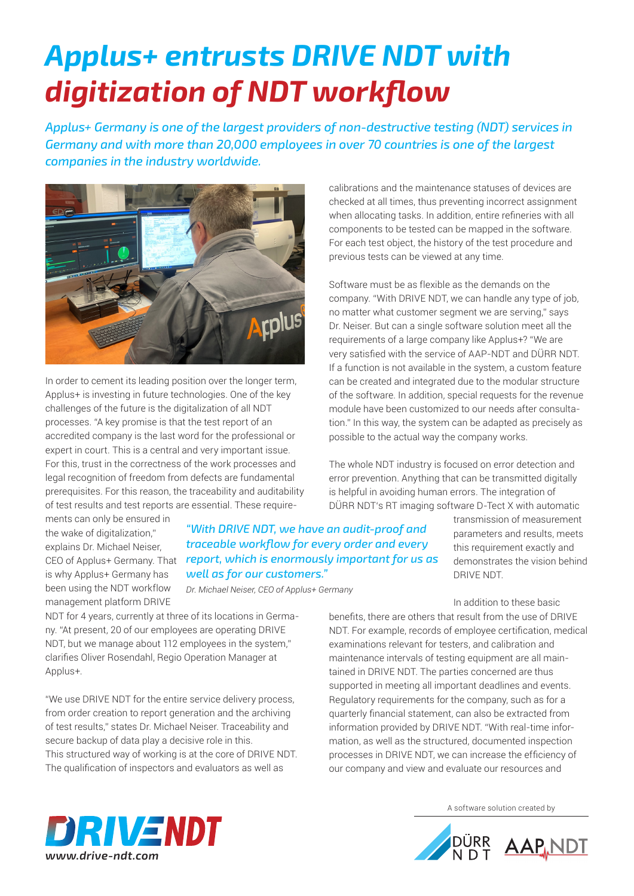## *Applus+ entrusts DRIVE NDT with digitization of NDT workflow*

*Applus+ Germany is one of the largest providers of non-destructive testing (NDT) services in Germany and with more than 20,000 employees in over 70 countries is one of the largest companies in the industry worldwide.*



In order to cement its leading position over the longer term, Applus+ is investing in future technologies. One of the key challenges of the future is the digitalization of all NDT processes. "A key promise is that the test report of an accredited company is the last word for the professional or expert in court. This is a central and very important issue. For this, trust in the correctness of the work processes and legal recognition of freedom from defects are fundamental prerequisites. For this reason, the traceability and auditability of test results and test reports are essential. These require-

ments can only be ensured in the wake of digitalization." explains Dr. Michael Neiser, is why Applus+ Germany has been using the NDT workflow management platform DRIVE

CEO of Applus+ Germany. That *report, which is enormously important for us as "With DRIVE NDT, we have an audit-proof and traceable workflow for every order and every well as for our customers."*

*Dr. Michael Neiser, CEO of Applus+ Germany*

NDT for 4 years, currently at three of its locations in Germany. "At present, 20 of our employees are operating DRIVE NDT, but we manage about 112 employees in the system," clarifies Oliver Rosendahl, Regio Operation Manager at Applus+.

"We use DRIVE NDT for the entire service delivery process, from order creation to report generation and the archiving of test results," states Dr. Michael Neiser. Traceability and secure backup of data play a decisive role in this. This structured way of working is at the core of DRIVE NDT. The qualification of inspectors and evaluators as well as

calibrations and the maintenance statuses of devices are checked at all times, thus preventing incorrect assignment when allocating tasks. In addition, entire refineries with all components to be tested can be mapped in the software. For each test object, the history of the test procedure and previous tests can be viewed at any time.

Software must be as flexible as the demands on the company. "With DRIVE NDT, we can handle any type of job, no matter what customer segment we are serving," says Dr. Neiser. But can a single software solution meet all the requirements of a large company like Applus+? "We are very satisfied with the service of AAP-NDT and DÜRR NDT. If a function is not available in the system, a custom feature can be created and integrated due to the modular structure of the software. In addition, special requests for the revenue module have been customized to our needs after consultation." In this way, the system can be adapted as precisely as possible to the actual way the company works.

The whole NDT industry is focused on error detection and error prevention. Anything that can be transmitted digitally is helpful in avoiding human errors. The integration of DÜRR NDT's RT imaging software D-Tect X with automatic

> transmission of measurement parameters and results, meets this requirement exactly and demonstrates the vision behind DRIVE NDT.

In addition to these basic

benefits, there are others that result from the use of DRIVE NDT. For example, records of employee certification, medical examinations relevant for testers, and calibration and maintenance intervals of testing equipment are all maintained in DRIVE NDT. The parties concerned are thus supported in meeting all important deadlines and events. Regulatory requirements for the company, such as for a quarterly financial statement, can also be extracted from information provided by DRIVE NDT. "With real-time information, as well as the structured, documented inspection processes in DRIVE NDT, we can increase the efficiency of our company and view and evaluate our resources and



A software solution created by